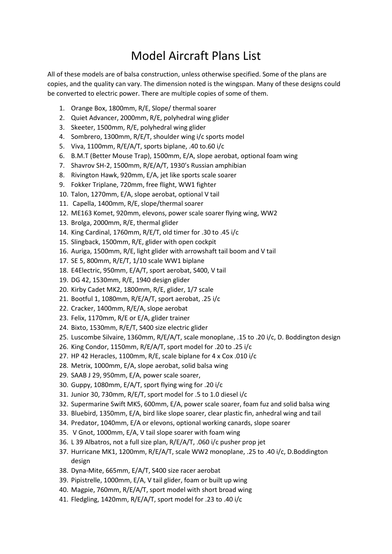## Model Aircraft Plans List

All of these models are of balsa construction, unless otherwise specified. Some of the plans are copies, and the quality can vary. The dimension noted is the wingspan. Many of these designs could be converted to electric power. There are multiple copies of some of them.

- 1. Orange Box, 1800mm, R/E, Slope/ thermal soarer
- 2. Quiet Advancer, 2000mm, R/E, polyhedral wing glider
- 3. Skeeter, 1500mm, R/E, polyhedral wing glider
- 4. Sombrero, 1300mm, R/E/T, shoulder wing i/c sports model
- 5. Viva, 1100mm, R/E/A/T, sports biplane, .40 to.60 i/c
- 6. B.M.T (Better Mouse Trap), 1500mm, E/A, slope aerobat, optional foam wing
- 7. Shavrov SH-2, 1500mm, R/E/A/T, 1930's Russian amphibian
- 8. Rivington Hawk, 920mm, E/A, jet like sports scale soarer
- 9. Fokker Triplane, 720mm, free flight, WW1 fighter
- 10. Talon, 1270mm, E/A, slope aerobat, optional V tail
- 11. Capella, 1400mm, R/E, slope/thermal soarer
- 12. ME163 Komet, 920mm, elevons, power scale soarer flying wing, WW2
- 13. Brolga, 2000mm, R/E, thermal glider
- 14. King Cardinal, 1760mm, R/E/T, old timer for .30 to .45 i/c
- 15. Slingback, 1500mm, R/E, glider with open cockpit
- 16. Auriga, 1500mm, R/E, light glider with arrowshaft tail boom and V tail
- 17. SE 5, 800mm, R/E/T, 1/10 scale WW1 biplane
- 18. E4Electric, 950mm, E/A/T, sport aerobat, S400, V tail
- 19. DG 42, 1530mm, R/E, 1940 design glider
- 20. Kirby Cadet MK2, 1800mm, R/E, glider, 1/7 scale
- 21. Bootful 1, 1080mm, R/E/A/T, sport aerobat, .25 i/c
- 22. Cracker, 1400mm, R/E/A, slope aerobat
- 23. Felix, 1170mm, R/E or E/A, glider trainer
- 24. Bixto, 1530mm, R/E/T, S400 size electric glider
- 25. Luscombe Silvaire, 1360mm, R/E/A/T, scale monoplane, .15 to .20 i/c, D. Boddington design
- 26. King Condor, 1150mm, R/E/A/T, sport model for .20 to .25 i/c
- 27. HP 42 Heracles, 1100mm, R/E, scale biplane for 4 x Cox .010 i/c
- 28. Metrix, 1000mm, E/A, slope aerobat, solid balsa wing
- 29. SAAB J 29, 950mm, E/A, power scale soarer,
- 30. Guppy, 1080mm, E/A/T, sport flying wing for .20 i/c
- 31. Junior 30, 730mm, R/E/T, sport model for .5 to 1.0 diesel i/c
- 32. Supermarine Swift MK5, 600mm, E/A, power scale soarer, foam fuz and solid balsa wing
- 33. Bluebird, 1350mm, E/A, bird like slope soarer, clear plastic fin, anhedral wing and tail
- 34. Predator, 1040mm, E/A or elevons, optional working canards, slope soarer
- 35. V Gnot, 1000mm, E/A, V tail slope soarer with foam wing
- 36. L 39 Albatros, not a full size plan, R/E/A/T, .060 i/c pusher prop jet
- 37. Hurricane MK1, 1200mm, R/E/A/T, scale WW2 monoplane, .25 to .40 i/c, D.Boddington design
- 38. Dyna-Mite, 665mm, E/A/T, S400 size racer aerobat
- 39. Pipistrelle, 1000mm, E/A, V tail glider, foam or built up wing
- 40. Magpie, 760mm, R/E/A/T, sport model with short broad wing
- 41. Fledgling, 1420mm, R/E/A/T, sport model for .23 to .40 i/c